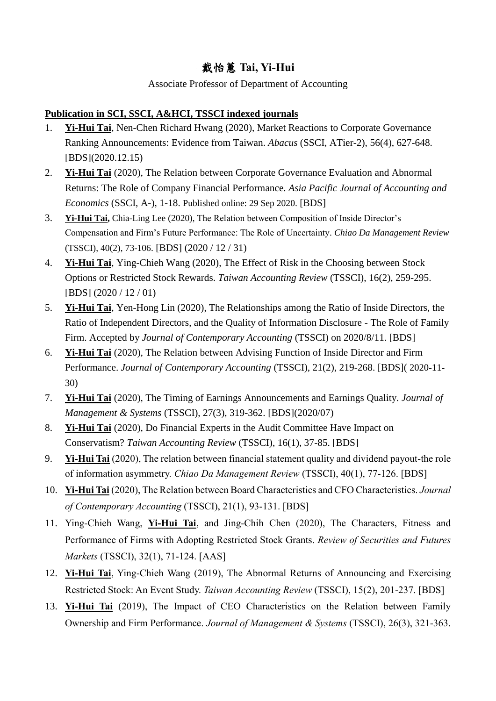# 戴怡蕙 **Tai, Yi-Hui**

### Associate Professor of Department of Accounting

## **Publication in SCI, SSCI, A&HCI, TSSCI indexed journals**

- 1. **Yi-Hui Tai**, Nen-Chen Richard Hwang (2020), Market Reactions to Corporate Governance Ranking Announcements: Evidence from Taiwan. *Abacus* (SSCI, ATier-2), 56(4), 627-648. [BDS](2020.12.15)
- 2. **Yi-Hui Tai** (2020), The Relation between Corporate Governance Evaluation and Abnormal Returns: The Role of Company Financial Performance. *Asia Pacific Journal of Accounting and Economics* (SSCI, A-), 1-18. Published online: 29 Sep 2020. [BDS]
- 3. **Yi-Hui Tai,** Chia-Ling Lee (2020), The Relation between Composition of Inside Director's Compensation and Firm's Future Performance: The Role of Uncertainty. *Chiao Da Management Review* (TSSCI), 40(2), 73-106. [BDS] (2020 / 12 / 31)
- 4. **Yi-Hui Tai**, Ying-Chieh Wang (2020), The Effect of Risk in the Choosing between Stock Options or Restricted Stock Rewards. *Taiwan Accounting Review* (TSSCI), 16(2), 259-295. [BDS] (2020 / 12 / 01)
- 5. **Yi-Hui Tai**, Yen-Hong Lin (2020), The Relationships among the Ratio of Inside Directors, the Ratio of Independent Directors, and the Quality of Information Disclosure - The Role of Family Firm. Accepted by *Journal of Contemporary Accounting* (TSSCI) on 2020/8/11. [BDS]
- 6. **Yi-Hui Tai** (2020), The Relation between Advising Function of Inside Director and Firm Performance. *Journal of Contemporary Accounting* (TSSCI), 21(2), 219-268. [BDS]( 2020-11- 30)
- 7. **Yi-Hui Tai** (2020), The Timing of Earnings Announcements and Earnings Quality. *Journal of Management & Systems* (TSSCI), 27(3), 319-362. [BDS](2020/07)
- 8. **Yi-Hui Tai** (2020), Do Financial Experts in the Audit Committee Have Impact on Conservatism? *Taiwan Accounting Review* (TSSCI), 16(1), 37-85. [BDS]
- 9. **Yi-Hui Tai** (2020), The relation between financial statement quality and dividend payout-the role of information asymmetry. *Chiao Da Management Review* (TSSCI), 40(1), 77-126. [BDS]
- 10. **Yi-Hui Tai** (2020), The Relation between Board Characteristics and CFO Characteristics. *Journal of Contemporary Accounting* (TSSCI), 21(1), 93-131. [BDS]
- 11. Ying-Chieh Wang, **Yi-Hui Tai**, and Jing-Chih Chen (2020), The Characters, Fitness and Performance of Firms with Adopting Restricted Stock Grants. *[Review of Securities and Futures](http://r.search.yahoo.com/_ylt=A8tUwYWKYXJXOxsAnMlr1gt.;_ylu=X3oDMTEyOWlrdjB1BGNvbG8DdHcxBHBvcwMxBHZ0aWQDQTAyNDNfMQRzZWMDc3I-/RV=2/RE=1467142667/RO=10/RU=http%3a%2f%2frsfm.sfi.org.tw%2findex.php%2fsfi/RK=0/RS=T4NCWFLKchjbNfNCC1PJCVeclJ8-)  [Markets](http://r.search.yahoo.com/_ylt=A8tUwYWKYXJXOxsAnMlr1gt.;_ylu=X3oDMTEyOWlrdjB1BGNvbG8DdHcxBHBvcwMxBHZ0aWQDQTAyNDNfMQRzZWMDc3I-/RV=2/RE=1467142667/RO=10/RU=http%3a%2f%2frsfm.sfi.org.tw%2findex.php%2fsfi/RK=0/RS=T4NCWFLKchjbNfNCC1PJCVeclJ8-)* (TSSCI), 32(1), 71-124. [AAS]
- 12. **Yi-Hui Tai**, Ying-Chieh Wang (2019), The Abnormal Returns of Announcing and Exercising Restricted Stock: An Event Study. *Taiwan Accounting Review* (TSSCI), 15(2), 201-237. [BDS]
- 13. **Yi-Hui Tai** (2019), The Impact of CEO Characteristics on the Relation between Family Ownership and Firm Performance. *Journal of Management & Systems* (TSSCI), 26(3), 321-363.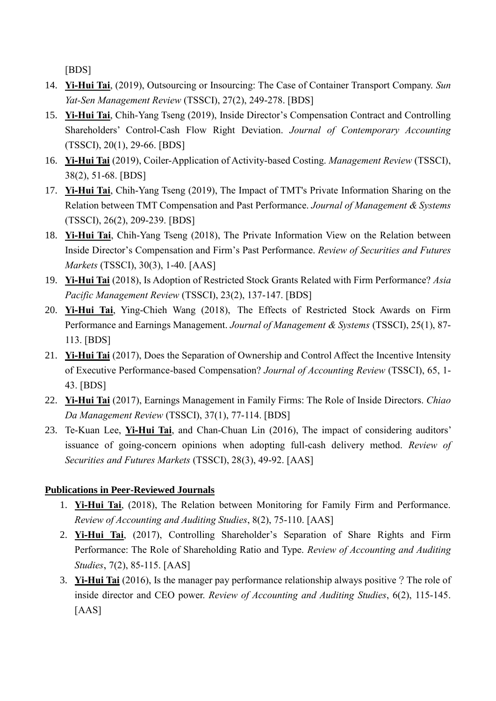[BDS]

- 14. **Yi-Hui Tai**, (2019), Outsourcing or Insourcing: The Case of Container Transport Company. *Sun Yat-Sen Management Review* (TSSCI), 27(2), 249-278. [BDS]
- 15. **Yi-Hui Tai**, Chih-Yang Tseng (2019), Inside Director's Compensation Contract and Controlling Shareholders' Control-Cash Flow Right Deviation. *Journal of Contemporary Accounting* (TSSCI), 20(1), 29-66. [BDS]
- 16. **Yi-Hui Tai** (2019), Coiler-Application of Activity-based Costing. *Management Review* (TSSCI), 38(2), 51-68. [BDS]
- 17. **Yi-Hui Tai**, Chih-Yang Tseng (2019), The Impact of TMT's Private Information Sharing on the Relation between TMT Compensation and Past Performance. *Journal of Management & Systems* (TSSCI), 26(2), 209-239. [BDS]
- 18. **Yi-Hui Tai**, Chih-Yang Tseng (2018), The Private Information View on the Relation between Inside Director's Compensation and Firm's Past Performance. *Review of Securities and Futures Markets* (TSSCI), 30(3), 1-40. [AAS]
- 19. **Yi-Hui Tai** (2018), Is Adoption of Restricted Stock Grants Related with Firm Performance? *Asia Pacific Management Review* (TSSCI), 23(2), 137-147. [BDS]
- 20. **Yi-Hui Tai**, Ying-Chieh Wang (2018), The Effects of Restricted Stock Awards on Firm Performance and Earnings Management. *Journal of Management & Systems* (TSSCI), 25(1), 87- 113. [BDS]
- 21. **Yi-Hui Tai** (2017), Does the Separation of Ownership and Control Affect the Incentive Intensity of Executive Performance-based Compensation? *Journal of Accounting Review* (TSSCI), 65, 1- 43. [BDS]
- 22. **Yi-Hui Tai** (2017), Earnings Management in Family Firms: The Role of Inside Directors. *Chiao Da Management Review* (TSSCI), 37(1), 77-114. [BDS]
- 23. Te-Kuan Lee, **Yi-Hui Tai**, and Chan-Chuan Lin (2016), The impact of considering auditors' issuance of going-concern opinions when adopting full-cash delivery method. *[Review of](http://r.search.yahoo.com/_ylt=A8tUwYWKYXJXOxsAnMlr1gt.;_ylu=X3oDMTEyOWlrdjB1BGNvbG8DdHcxBHBvcwMxBHZ0aWQDQTAyNDNfMQRzZWMDc3I-/RV=2/RE=1467142667/RO=10/RU=http%3a%2f%2frsfm.sfi.org.tw%2findex.php%2fsfi/RK=0/RS=T4NCWFLKchjbNfNCC1PJCVeclJ8-)  [Securities and Futures Markets](http://r.search.yahoo.com/_ylt=A8tUwYWKYXJXOxsAnMlr1gt.;_ylu=X3oDMTEyOWlrdjB1BGNvbG8DdHcxBHBvcwMxBHZ0aWQDQTAyNDNfMQRzZWMDc3I-/RV=2/RE=1467142667/RO=10/RU=http%3a%2f%2frsfm.sfi.org.tw%2findex.php%2fsfi/RK=0/RS=T4NCWFLKchjbNfNCC1PJCVeclJ8-)* (TSSCI), 28(3), 49-92. [AAS]

## **Publications in Peer-Reviewed Journals**

- 1. **Yi-Hui Tai**, (2018), The Relation between Monitoring for Family Firm and Performance. *Review of Accounting and Auditing Studies*, 8(2), 75-110. [AAS]
- 2. **Yi-Hui Tai**, (2017), Controlling Shareholder's Separation of Share Rights and Firm Performance: The Role of Shareholding Ratio and Type. *Review of Accounting and Auditing Studies*, 7(2), 85-115. [AAS]
- 3. **Yi-Hui Tai** (2016), Is the manager pay performance relationship always positive?The role of inside director and CEO power. *Review of Accounting and Auditing Studies*, 6(2), 115-145. [AAS]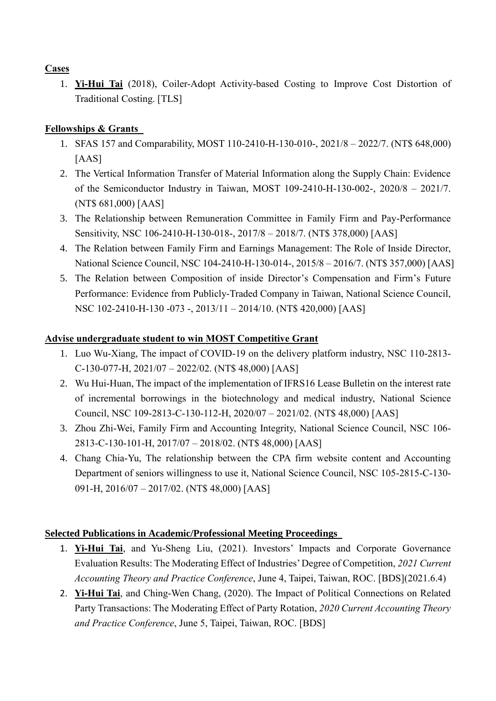#### **Cases**

1. **Yi-Hui Tai** (2018), Coiler-Adopt Activity-based Costing to Improve Cost Distortion of Traditional Costing. [TLS]

### **Fellowships & Grants**

- 1. SFAS 157 and Comparability, MOST 110-2410-H-130-010-, 2021/8 2022/7. (NT\$ 648,000) [AAS]
- 2. The Vertical Information Transfer of Material Information along the Supply Chain: Evidence of the Semiconductor Industry in Taiwan, MOST 109-2410-H-130-002-, 2020/8 – 2021/7. (NT\$ 681,000) [AAS]
- 3. The Relationship between Remuneration Committee in Family Firm and Pay-Performance Sensitivity, NSC 106-2410-H-130-018-, 2017/8 – 2018/7. (NT\$ 378,000) [AAS]
- 4. The Relation between Family Firm and Earnings Management: The Role of Inside Director, National Science Council, NSC 104-2410-H-130-014-, 2015/8 – 2016/7. (NT\$ 357,000) [AAS]
- 5. The Relation between Composition of inside Director's Compensation and Firm's Future Performance: Evidence from Publicly-Traded Company in Taiwan, National Science Council, NSC 102-2410-H-130 -073 -, 2013/11 – 2014/10. (NT\$ 420,000) [AAS]

#### **Advise undergraduate student to win MOST Competitive Grant**

- 1. Luo Wu-Xiang, The impact of COVID-19 on the delivery platform industry, NSC 110-2813- C-130-077-H, 2021/07 – 2022/02. (NT\$ 48,000) [AAS]
- 2. Wu Hui-Huan, The impact of the implementation of IFRS16 Lease Bulletin on the interest rate of incremental borrowings in the biotechnology and medical industry, National Science Council, NSC 109-2813-C-130-112-H, 2020/07 – 2021/02. (NT\$ 48,000) [AAS]
- 3. Zhou Zhi-Wei, Family Firm and Accounting Integrity, National Science Council, NSC 106- 2813-C-130-101-H, 2017/07 – 2018/02. (NT\$ 48,000) [AAS]
- 4. Chang Chia-Yu, The relationship between the CPA firm website content and Accounting Department of seniors willingness to use it, National Science Council, NSC 105-2815-C-130- 091-H, 2016/07 – 2017/02. (NT\$ 48,000) [AAS]

#### **Selected Publications in Academic/Professional Meeting Proceedings**

- 1. **Yi-Hui Tai**, and Yu-Sheng Liu, (2021). Investors' Impacts and Corporate Governance Evaluation Results: The Moderating Effect of Industries' Degree of Competition, *2021 Current Accounting Theory and Practice Conference*, June 4, Taipei, Taiwan, ROC. [BDS](2021.6.4)
- 2. **Yi-Hui Tai**, and Ching-Wen Chang, (2020). The Impact of Political Connections on Related Party Transactions: The Moderating Effect of Party Rotation, *2020 Current Accounting Theory and Practice Conference*, June 5, Taipei, Taiwan, ROC. [BDS]